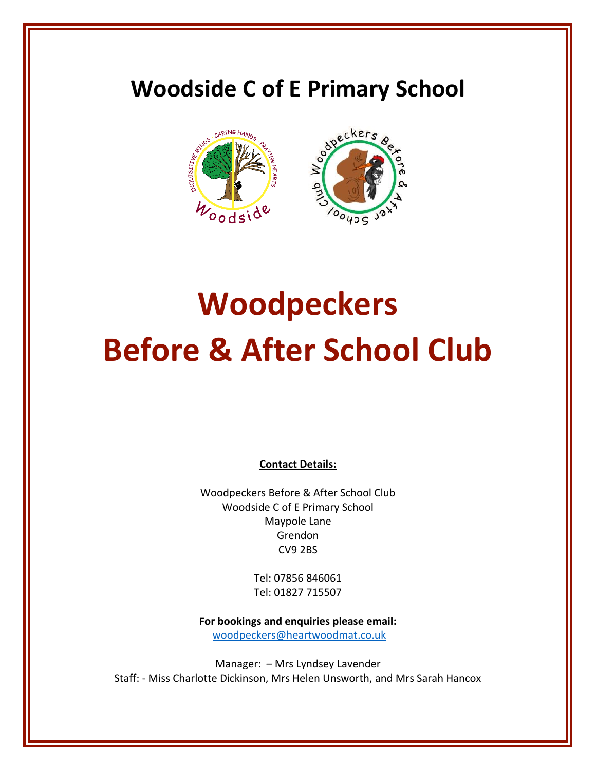# **Woodside C of E Primary School**



# **Woodpeckers Before & After School Club**

**Contact Details:**

Woodpeckers Before & After School Club Woodside C of E Primary School Maypole Lane Grendon CV9 2BS

> Tel: 07856 846061 Tel: 01827 715507

**For bookings and enquiries please email:** [woodpeckers@heartwoodmat.co.uk](mailto:woodpeckers@heartwoodmat.co.uk)

Manager: – Mrs Lyndsey Lavender Staff: - Miss Charlotte Dickinson, Mrs Helen Unsworth, and Mrs Sarah Hancox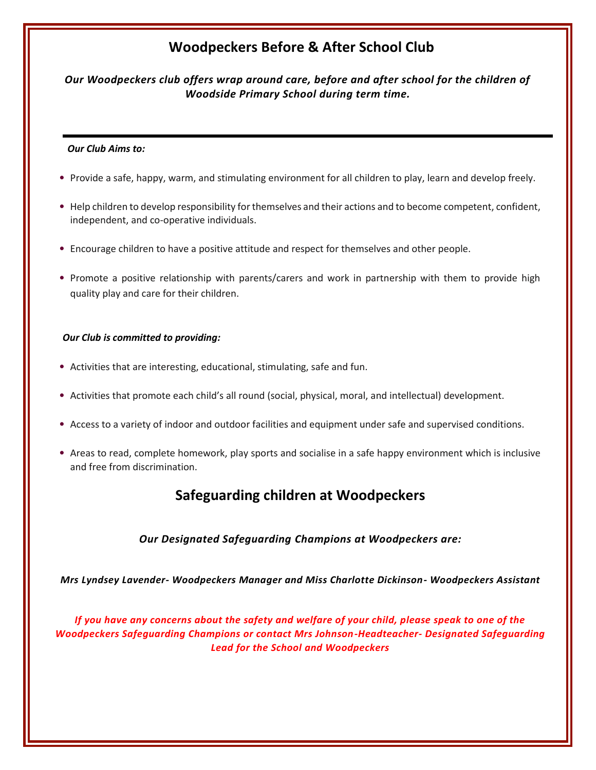## **Woodpeckers Before & After School Club**

*Our Woodpeckers club offers wrap around care, before and after school for the children of Woodside Primary School during term time.*

#### *Our Club Aims to:*

- Provide a safe, happy, warm, and stimulating environment for all children to play, learn and develop freely.
- Help children to develop responsibility for themselves and their actions and to become competent, confident, independent, and co-operative individuals.
- Encourage children to have a positive attitude and respect for themselves and other people.
- Promote a positive relationship with parents/carers and work in partnership with them to provide high quality play and care for their children.

#### *Our Club is committed to providing:*

- Activities that are interesting, educational, stimulating, safe and fun.
- Activities that promote each child's all round (social, physical, moral, and intellectual) development.
- Access to a variety of indoor and outdoor facilities and equipment under safe and supervised conditions.
- Areas to read, complete homework, play sports and socialise in a safe happy environment which is inclusive and free from discrimination.

### **Safeguarding children at Woodpeckers**

#### *Our Designated Safeguarding Champions at Woodpeckers are:*

*Mrs Lyndsey Lavender- Woodpeckers Manager and Miss Charlotte Dickinson- Woodpeckers Assistant*

*If you have any concerns about the safety and welfare of your child, please speak to one of the Woodpeckers Safeguarding Champions or contact Mrs Johnson-Headteacher- Designated Safeguarding Lead for the School and Woodpeckers*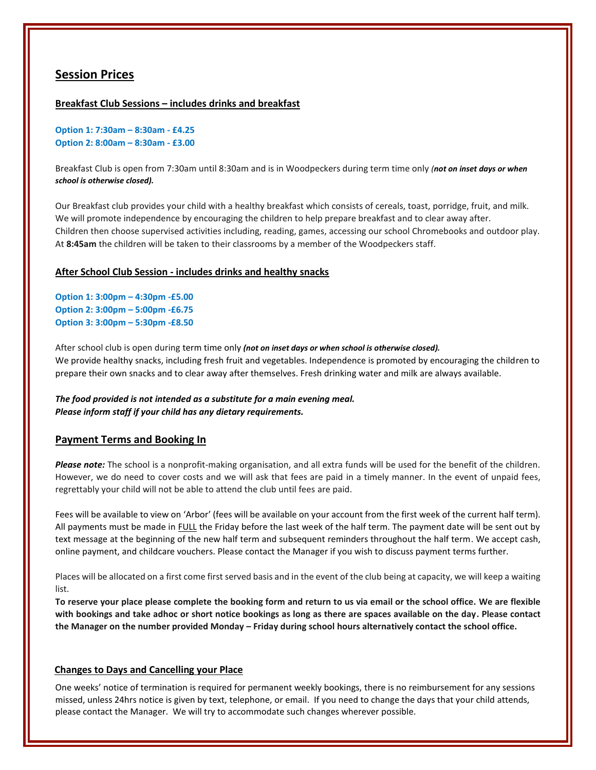#### **Session Prices**

#### **Breakfast Club Sessions – includes drinks and breakfast**

**Option 1: 7:30am – 8:30am - £4.25 Option 2: 8:00am – 8:30am - £3.00**

Breakfast Club is open from 7:30am until 8:30am and is in Woodpeckers during term time only *(not on inset days or when school is otherwise closed).*

Our Breakfast club provides your child with a healthy breakfast which consists of cereals, toast, porridge, fruit, and milk. We will promote independence by encouraging the children to help prepare breakfast and to clear away after. Children then choose supervised activities including, reading, games, accessing our school Chromebooks and outdoor play. At **8:45am** the children will be taken to their classrooms by a member of the Woodpeckers staff.

#### **After School Club Session - includes drinks and healthy snacks**

**Option 1: 3:00pm – 4:30pm -£5.00 Option 2: 3:00pm – 5:00pm -£6.75 Option 3: 3:00pm – 5:30pm -£8.50**

After school club is open during term time only *(not on inset days or when school is otherwise closed).* We provide healthy snacks, including fresh fruit and vegetables. Independence is promoted by encouraging the children to prepare their own snacks and to clear away after themselves. Fresh drinking water and milk are always available.

*The food provided is not intended as a substitute for a main evening meal. Please inform staff if your child has any dietary requirements.* 

#### **Payment Terms and Booking In**

*Please note:* The school is a nonprofit-making organisation, and all extra funds will be used for the benefit of the children. However, we do need to cover costs and we will ask that fees are paid in a timely manner. In the event of unpaid fees, regrettably your child will not be able to attend the club until fees are paid.

Fees will be available to view on 'Arbor' (fees will be available on your account from the first week of the current half term). All payments must be made in FULL the Friday before the last week of the half term. The payment date will be sent out by text message at the beginning of the new half term and subsequent reminders throughout the half term. We accept cash, online payment, and childcare vouchers. Please contact the Manager if you wish to discuss payment terms further.

Places will be allocated on a first come first served basis and in the event of the club being at capacity, we will keep a waiting list.

**To reserve your place please complete the booking form and return to us via email or the school office. We are flexible with bookings and take adhoc or short notice bookings as long as there are spaces available on the day. Please contact the Manager on the number provided Monday – Friday during school hours alternatively contact the school office.**

#### **Changes to Days and Cancelling your Place**

One weeks' notice of termination is required for permanent weekly bookings, there is no reimbursement for any sessions missed, unless 24hrs notice is given by text, telephone, or email. If you need to change the days that your child attends, please contact the Manager. We will try to accommodate such changes wherever possible.